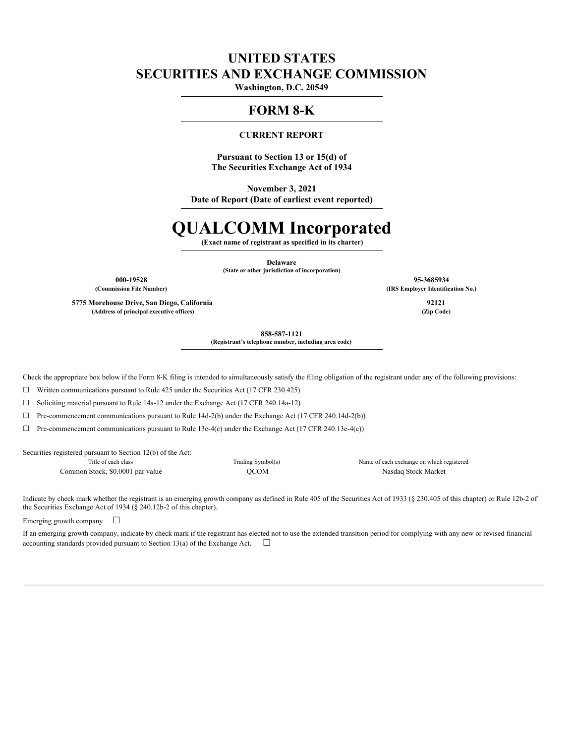# **UNITED STATES SECURITIES AND EXCHANGE COMMISSION**

**Washington, D.C. 20549**

# **FORM 8-K**

### **CURRENT REPORT**

**Pursuant to Section 13 or 15(d) of The Securities Exchange Act of 1934**

**November 3, 2021**

**Date of Report (Date of earliest event reported)**

# **QUALCOMM Incorporated**

**(Exact name of registrant as specified in its charter)**

**Delaware (State or other jurisdiction of incorporation)**

**5775 Morehouse Drive, San Diego, California 92121 (Address of principal executive offices) (Zip Code)**

**000-19528 95-3685934 (Commission File Number) (IRS Employer Identification No.)**

**858-587-1121**

**(Registrant's telephone number, including area code)**

Check the appropriate box below if the Form 8-K filing is intended to simultaneously satisfy the filing obligation of the registrant under any of the following provisions:

 $\Box$  Written communications pursuant to Rule 425 under the Securities Act (17 CFR 230.425)

☐ Soliciting material pursuant to Rule 14a-12 under the Exchange Act (17 CFR 240.14a-12)

☐ Pre-commencement communications pursuant to Rule 14d-2(b) under the Exchange Act (17 CFR 240.14d-2(b))

 $\Box$  Pre-commencement communications pursuant to Rule 13e-4(c) under the Exchange Act (17 CFR 240.13e-4(c))

Securities registered pursuant to Section 12(b) of the Act:

Common Stock, \$0.0001 par value QCOM Nasdaq Stock Market

Title of each class Trading Symbol(s) Name of each exchange on which registered

Indicate by check mark whether the registrant is an emerging growth company as defined in Rule 405 of the Securities Act of 1933 (§ 230.405 of this chapter) or Rule 12b-2 of the Securities Exchange Act of 1934 (§ 240.12b-2 of this chapter).

Emerging growth company  $\Box$ 

If an emerging growth company, indicate by check mark if the registrant has elected not to use the extended transition period for complying with any new or revised financial accounting standards provided pursuant to Section 13(a) of the Exchange Act.  $\Box$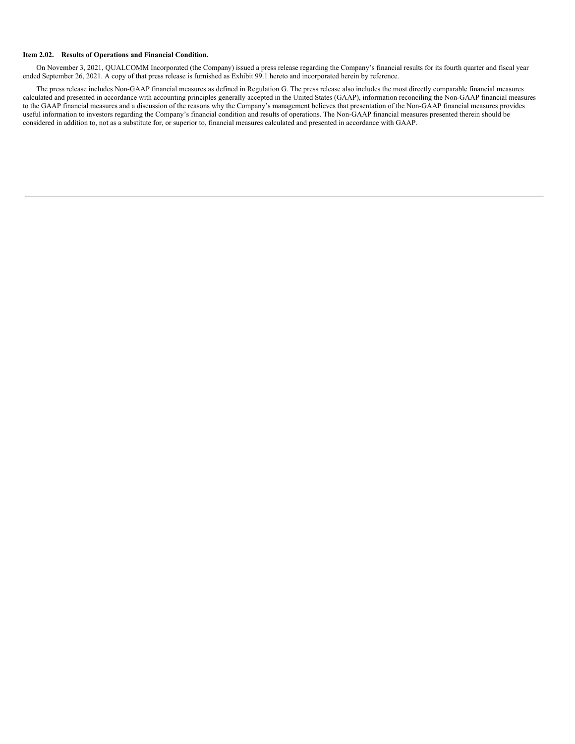#### **Item 2.02. Results of Operations and Financial Condition.**

On November 3, 2021, QUALCOMM Incorporated (the Company) issued a press release regarding the Company's financial results for its fourth quarter and fiscal year ended September 26, 2021. A copy of that press release is furnished as Exhibit 99.1 hereto and incorporated herein by reference.

The press release includes Non-GAAP financial measures as defined in Regulation G. The press release also includes the most directly comparable financial measures calculated and presented in accordance with accounting principles generally accepted in the United States (GAAP), information reconciling the Non-GAAP financial measures to the GAAP financial measures and a discussion of the reasons why the Company's management believes that presentation of the Non-GAAP financial measures provides useful information to investors regarding the Company's financial condition and results of operations. The Non-GAAP financial measures presented therein should be considered in addition to, not as a substitute for, or superior to, financial measures calculated and presented in accordance with GAAP.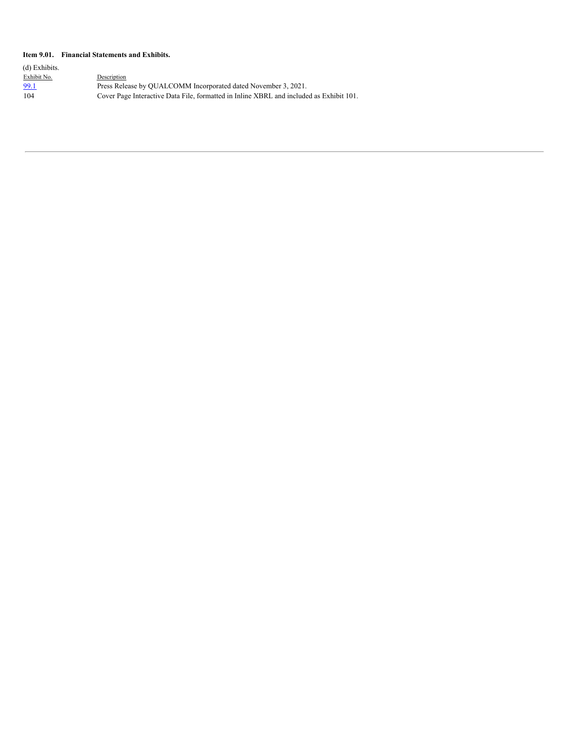### **Item 9.01. Financial Statements and Exhibits.**

| (d) Exhibits. |                                                                                         |
|---------------|-----------------------------------------------------------------------------------------|
| Exhibit No.   | Description                                                                             |
| 99.1          | Press Release by OUALCOMM Incorporated dated November 3, 2021.                          |
| 104           | Cover Page Interactive Data File, formatted in Inline XBRL and included as Exhibit 101. |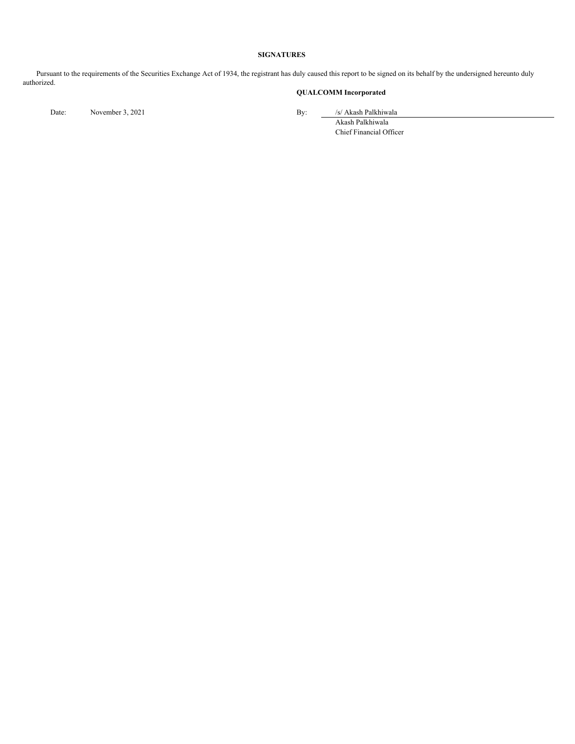#### **SIGNATURES**

Pursuant to the requirements of the Securities Exchange Act of 1934, the registrant has duly caused this report to be signed on its behalf by the undersigned hereunto duly authorized.

# **QUALCOMM Incorporated**

Date: November 3, 2021 By: /s/ Akash Palkhiwala

Akash Palkhiwala Chief Financial Officer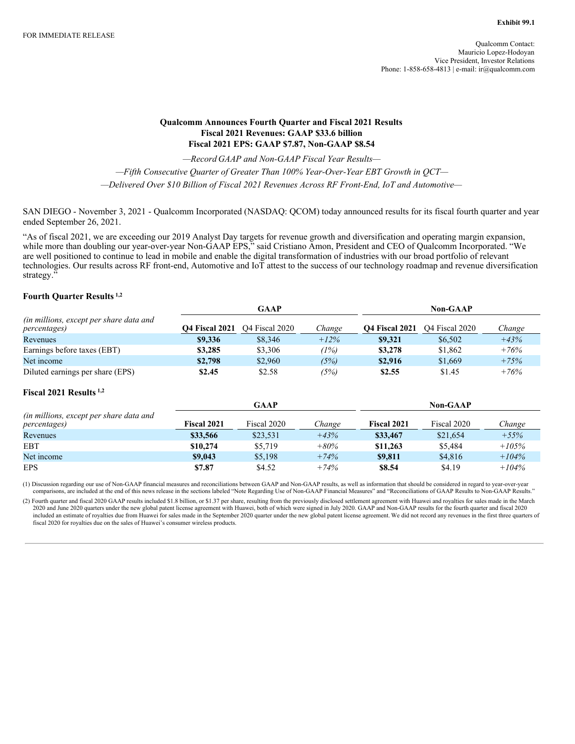### **Qualcomm Announces Fourth Quarter and Fiscal 2021 Results Fiscal 2021 Revenues: GAAP \$33.6 billion Fiscal 2021 EPS: GAAP \$7.87, Non-GAAP \$8.54**

*—Record GAAP and Non-GAAP Fiscal Year Results—*

*—Fifth Consecutive Quarter of Greater Than 100% Year-Over-Year EBT Growth in QCT—*

*—Delivered Over \$10 Billion of Fiscal 2021 Revenues Across RF Front-End, IoT and Automotive—*

SAN DIEGO - November 3, 2021 - Qualcomm Incorporated (NASDAQ: QCOM) today announced results for its fiscal fourth quarter and year ended September 26, 2021.

"As of fiscal 2021, we are exceeding our 2019 Analyst Day targets for revenue growth and diversification and operating margin expansion, while more than doubling our year-over-year Non-GAAP EPS," said Cristiano Amon, President and CEO of Qualcomm Incorporated. "We are well positioned to continue to lead in mobile and enable the digital transformation of industries with our broad portfolio of relevant technologies. Our results across RF front-end, Automotive and IoT attest to the success of our technology roadmap and revenue diversification strategy."

### **Fourth Quarter Results 1,2**

|                                                                 |                | <b>GAAP</b>                |        |                       | <b>Non-GAAP</b>            |          |  |  |
|-----------------------------------------------------------------|----------------|----------------------------|--------|-----------------------|----------------------------|----------|--|--|
| (in millions, except per share data and<br><i>percentages</i> ) | Q4 Fiscal 2021 | O <sub>4</sub> Fiscal 2020 | Change | <b>O4 Fiscal 2021</b> | O <sub>4</sub> Fiscal 2020 | Change   |  |  |
| Revenues                                                        | \$9,336        | \$8,346                    | $+12%$ | \$9,321               | \$6,502                    | $+43%$   |  |  |
| Earnings before taxes (EBT)                                     | \$3,285        | \$3,306                    | (1%)   | \$3,278               | \$1,862                    | $+76%$   |  |  |
| Net income                                                      | \$2,798        | \$2,960                    | (5%)   | \$2,916               | \$1,669                    | $+75%$   |  |  |
| Diluted earnings per share (EPS)                                | \$2.45         | \$2.58                     | (5%)   | \$2.55                | \$1.45                     | $+76%$   |  |  |
| Fiscal $2021$ Results $1,2$                                     |                |                            |        |                       |                            |          |  |  |
|                                                                 |                | <b>GAAP</b>                |        |                       | <b>Non-GAAP</b>            |          |  |  |
| (in millions, except per share data and<br><i>percentages</i> ) | Fiscal 2021    | Fiscal 2020                | Change | Fiscal 2021           | Fiscal 2020                | Change   |  |  |
| Revenues                                                        | \$33,566       | \$23,531                   | $+43%$ | \$33,467              | \$21,654                   | $+55%$   |  |  |
| <b>EBT</b>                                                      | \$10,274       | \$5,719                    | $+80%$ | \$11,263              | \$5,484                    | $+105%$  |  |  |
| Net income                                                      | \$9,043        | \$5,198                    | $+74%$ | \$9,811               | \$4,816                    | $+104\%$ |  |  |
| <b>EPS</b>                                                      | \$7.87         | \$4.52                     | $+74%$ | \$8.54                | \$4.19                     | $+104%$  |  |  |

(1) Discussion regarding our use of Non-GAAP financial measures and reconciliations between GAAP and Non-GAAP results, as well as information that should be considered in regard to year-over-year comparisons, are included at the end of this news release in the sections labeled "Note Regarding Use of Non-GAAP Financial Measures" and "Reconciliations of GAAP Results to Non-GAAP Results."

(2) Fourth quarter and fiscal 2020 GAAP results included \$1.8 billion, or \$1.37 per share, resulting from the previously disclosed settlement agreement with Huawei and royalties for sales made in the March 2020 and June 2020 quarters under the new global patent license agreement with Huawei, both of which were signed in July 2020. GAAP and Non-GAAP results for the fourth quarter and fiscal 2020 included an estimate of royalties due from Huawei for sales made in the September 2020 quarter under the new global patent license agreement. We did not record any revenues in the first three quarters of fiscal 2020 for royalties due on the sales of Huawei's consumer wireless products.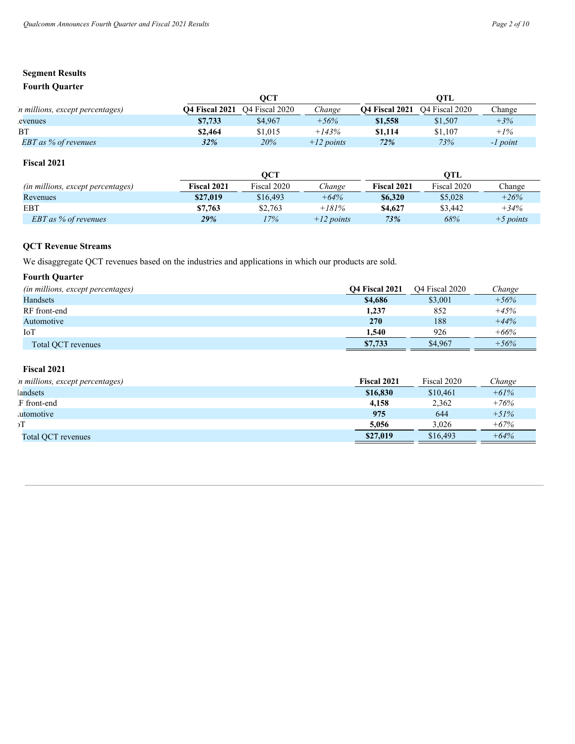## **Fourth Quarter**

|                                 |                       | OCT                        |              |                       | OTL                        |            |  |  |
|---------------------------------|-----------------------|----------------------------|--------------|-----------------------|----------------------------|------------|--|--|
| n millions, except percentages) | <b>O4 Fiscal 2021</b> | O <sub>4</sub> Fiscal 2020 | Change       | <b>O4 Fiscal 2021</b> | O <sub>4</sub> Fiscal 2020 | Change     |  |  |
| evenues                         | \$7,733               | \$4,967                    | $+56%$       | \$1,558               | \$1,507                    | $+3%$      |  |  |
| BT                              | \$2.464               | \$1,015                    | $+143%$      | \$1,114               | \$1.107                    | $+1\%$     |  |  |
| EBT as % of revenues            | 32%                   | 20%                        | $+12$ points | 72%                   | 73%                        | $-I$ point |  |  |

# **Fiscal 2021**

|                                   |             | OCT         |              |             |             |             |
|-----------------------------------|-------------|-------------|--------------|-------------|-------------|-------------|
| (in millions, except percentages) | Fiscal 2021 | Fiscal 2020 | Change       | Fiscal 2021 | Fiscal 2020 | Change      |
| Revenues                          | \$27,019    | \$16,493    | $+64%$       | \$6,320     | \$5,028     | $+26%$      |
| EBT                               | \$7,763     | \$2.763     | $+181%$      | \$4,627     | \$3,442     | $+34%$      |
| <b>EBT</b> as % of revenues       | 29%         | 17%         | $+12$ points | 73%         | 68%         | $+5$ points |

# **QCT Revenue Streams**

We disaggregate QCT revenues based on the industries and applications in which our products are sold.

# **Fourth Quarter**

| (in millions, except percentages) | <b>O4 Fiscal 2021</b> | O <sub>4</sub> Fiscal 2020 | Change |
|-----------------------------------|-----------------------|----------------------------|--------|
| Handsets                          | \$4,686               | \$3,001                    | $+56%$ |
| RF front-end                      | 1,237                 | 852                        | $+45%$ |
| Automotive                        | 270                   | 188                        | $+44%$ |
| IoT                               | 1.540                 | 926                        | $+66%$ |
| Total OCT revenues                | \$7,733               | \$4,967                    | $+56%$ |

# **Fiscal 2021**

| n millions, except percentages) | Fiscal 2021 | Fiscal 2020 | Change |
|---------------------------------|-------------|-------------|--------|
| andsets                         | \$16,830    | \$10,461    | $+61%$ |
| F front-end                     | 4.158       | 2.362       | $+76%$ |
| utomotive                       | 975         | 644         | $+51%$ |
| эΤ                              | 5.056       | 3.026       | $+67%$ |
| Total QCT revenues              | \$27,019    | \$16,493    | $+64%$ |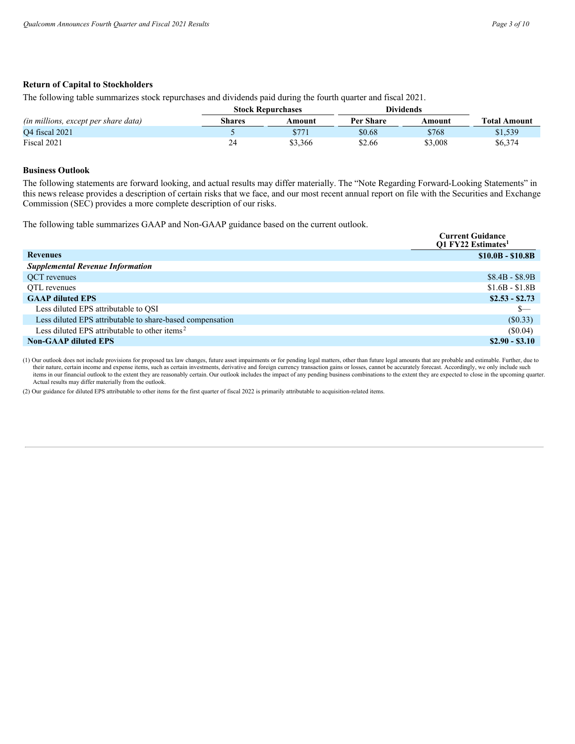### **Return of Capital to Stockholders**

The following table summarizes stock repurchases and dividends paid during the fourth quarter and fiscal 2021.

|                                      | <b>Stock Repurchases</b> |         | <b>Dividends</b> |         |                     |
|--------------------------------------|--------------------------|---------|------------------|---------|---------------------|
| (in millions, except per share data) | Shares                   | Amount  | Per Share        | Amount  | <b>Total Amount</b> |
| <b>O4</b> fiscal 2021                |                          | \$771   | \$0.68           | \$768   | \$1,539             |
| Fiscal 2021                          | 24                       | \$3,366 | \$2.66           | \$3,008 | \$6,374             |

### **Business Outlook**

The following statements are forward looking, and actual results may differ materially. The "Note Regarding Forward-Looking Statements" in this news release provides a description of certain risks that we face, and our most recent annual report on file with the Securities and Exchange Commission (SEC) provides a more complete description of our risks.

The following table summarizes GAAP and Non-GAAP guidance based on the current outlook.

|                                                           | <b>Current Guidance</b><br><b>O1 FY22 Estimates</b> <sup>1</sup> |
|-----------------------------------------------------------|------------------------------------------------------------------|
| <b>Revenues</b>                                           | $$10.0B - $10.8B$                                                |
| <b>Supplemental Revenue Information</b>                   |                                                                  |
| QCT revenues                                              | $$8.4B - $8.9B$                                                  |
| OTL revenues                                              | $$1.6B - $1.8B$                                                  |
| <b>GAAP diluted EPS</b>                                   | $$2.53 - $2.73$                                                  |
| Less diluted EPS attributable to QSI                      | S—                                                               |
| Less diluted EPS attributable to share-based compensation | $(\$0.33)$                                                       |
| Less diluted EPS attributable to other items <sup>2</sup> | (S0.04)                                                          |
| <b>Non-GAAP diluted EPS</b>                               | $$2.90 - $3.10$                                                  |

(1) Our outlook does not include provisions for proposed tax law changes, future asset impairments or for pending legal matters, other than future legal amounts that are probable and estimable. Further, due to their nature, certain income and expense items, such as certain investments, derivative and foreign currency transaction gains or losses, cannot be accurately forecast. Accordingly, we only include such items in our financial outlook to the extent they are reasonably certain. Our outlook includes the impact of any pending business combinations to the extent they are expected to close in the upcoming quarter. Actual results may differ materially from the outlook.

(2) Our guidance for diluted EPS attributable to other items for the first quarter of fiscal 2022 is primarily attributable to acquisition-related items.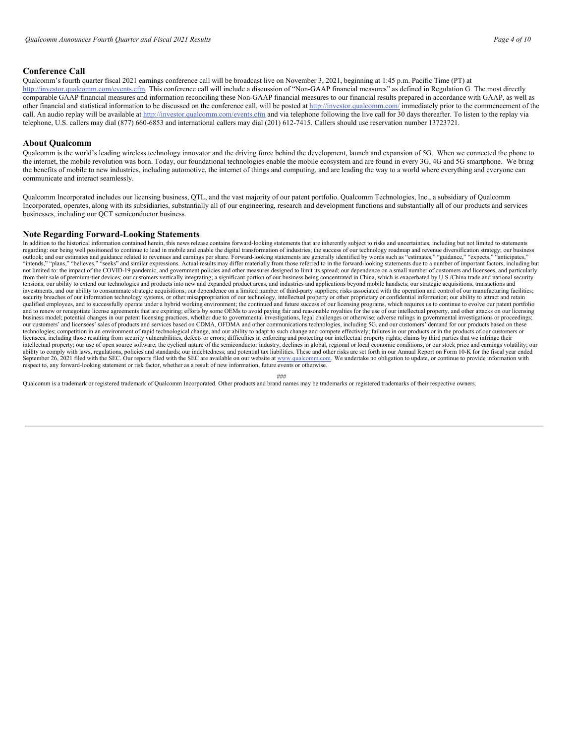### **Conference Call**

Qualcomm's fourth quarter fiscal 2021 earnings conference call will be broadcast live on November 3, 2021, beginning at 1:45 p.m. Pacific Time (PT) at http://investor.qualcomm.com/events.cfm. This conference call will include a discussion of "Non-GAAP financial measures" as defined in Regulation G. The most directly comparable GAAP financial measures and information reconciling these Non-GAAP financial measures to our financial results prepared in accordance with GAAP, as well as other financial and statistical information to be discussed on the conference call, will be posted at http://investor.qualcomm.com/ immediately prior to the commencement of the call. An audio replay will be available at http://investor.qualcomm.com/events.cfm and via telephone following the live call for 30 days thereafter. To listen to the replay via telephone, U.S. callers may dial (877) 660-6853 and international callers may dial (201) 612-7415. Callers should use reservation number 13723721.

#### **About Qualcomm**

Qualcomm is the world's leading wireless technology innovator and the driving force behind the development, launch and expansion of 5G. When we connected the phone to the internet, the mobile revolution was born. Today, our foundational technologies enable the mobile ecosystem and are found in every 3G, 4G and 5G smartphone. We bring the benefits of mobile to new industries, including automotive, the internet of things and computing, and are leading the way to a world where everything and everyone can communicate and interact seamlessly.

Qualcomm Incorporated includes our licensing business, QTL, and the vast majority of our patent portfolio. Qualcomm Technologies, Inc., a subsidiary of Qualcomm Incorporated, operates, along with its subsidiaries, substantially all of our engineering, research and development functions and substantially all of our products and services businesses, including our QCT semiconductor business.

#### **Note Regarding Forward-Looking Statements**

In addition to the historical information contained herein, this news release contains forward-looking statements that are inherently subject to risks and uncertainties, including but not limited to statements regarding: our being well positioned to continue to lead in mobile and enable the digital transformation of industries; the success of our technology roadmap and revenue diversification strategy; our business outlook; and our estimates and guidance related to revenues and earnings per share. Forward-looking statements are generally identified by words such as "estimates," "guidance," "expects," "anticipates," "anticipates," "an not limited to: the impact of the COVID-19 pandemic, and government policies and other measures designed to limit its spread; our dependence on a small number of customers and licensees, and particularly from their sale of premium-tier devices; our customers vertically integrating; a significant portion of our business being concentrated in China, which is exacerbated by U.S./China trade and national security tensions; our ability to extend our technologies and products into new and expanded product areas, and industries and applications beyond mobile handsets; our strategic acquisitions, transactions and investments, and our ability to consummate strategic acquisitions; our dependence on a limited number of third-party suppliers; risks associated with the operation and control of our manufacturing facilities; security breaches of our information technology systems, or other misappropriation of our technology, intellectual property or other proprietary or confidential information; our ability to attract and retain qualified employees, and to successfully operate under a hybrid working environment; the continued and future success of our licensing programs, which requires us to continue to evolve our patent portfolio and to renew or business model; potential changes in our patent licensing practices, whether due to governmental investigations, legal challenges or otherwise; adverse rulings in governmental investigations or proceedings; our customers' and licensees' sales of products and services based on CDMA, OFDMA and other communications technologies, including 5G, and our customers' demand for our products based on these technologies; competition in an environment of rapid technological change, and our ability to adapt to such change and compete effectively; failures in our products or in the products of our customers or licensees, including those resulting from security vulnerabilities, defects or errors; difficulties in enforcing and protecting our intellectual property rights; claims by third parties that we infringe their<br>intellectual ability to comply with laws, regulations, policies and standards; our indebtedness; and potential tax liabilities. These and other risks are set forth in our Annual Report on Form 10-K for the fiscal year ended September 26, 2021 filed with the SEC. Our reports filed with the SEC are available on our website at www.qualcomm.com. We undertake no obligation to update, or continue to provide information with<br>respect to, any forward-

###

Qualcomm is a trademark or registered trademark of Qualcomm Incorporated. Other products and brand names may be trademarks or registered trademarks of their respective owners.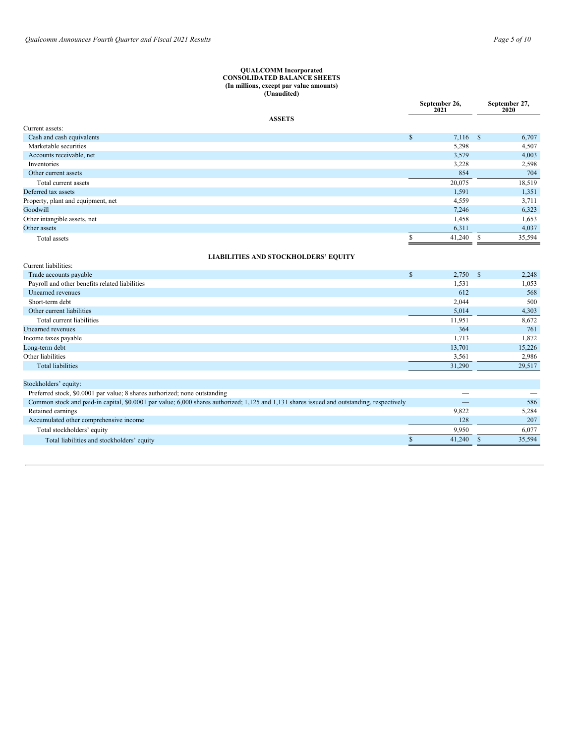#### <span id="page-8-0"></span>**QUALCOMM Incorporated CONSOLIDATED BALANCE SHEETS (In millions, except par value amounts) (Unaudited)**

|                                                |                                             | September 26,<br>2021    |              | September 27,<br>2020 |
|------------------------------------------------|---------------------------------------------|--------------------------|--------------|-----------------------|
|                                                | <b>ASSETS</b>                               |                          |              |                       |
| Current assets:                                |                                             |                          |              |                       |
| Cash and cash equivalents                      |                                             | $\mathbb{S}$<br>7,116 \$ |              | 6,707                 |
| Marketable securities                          |                                             | 5,298                    |              | 4,507                 |
| Accounts receivable, net                       |                                             | 3,579                    |              | 4,003                 |
| Inventories                                    |                                             | 3,228                    |              | 2,598                 |
| Other current assets                           |                                             | 854                      |              | 704                   |
| Total current assets                           |                                             | 20,075                   |              | 18,519                |
| Deferred tax assets                            |                                             | 1,591                    |              | 1,351                 |
| Property, plant and equipment, net             |                                             | 4,559                    |              | 3,711                 |
| Goodwill                                       |                                             | 7,246                    |              | 6,323                 |
| Other intangible assets, net                   |                                             | 1,458                    |              | 1,653                 |
| Other assets                                   |                                             | 6,311                    |              | 4,037                 |
| Total assets                                   |                                             | 41,240<br>S              | \$           | 35,594                |
|                                                | <b>LIABILITIES AND STOCKHOLDERS' EQUITY</b> |                          |              |                       |
| Current liabilities:                           |                                             |                          |              |                       |
| Trade accounts payable                         |                                             | $\mathbb{S}$<br>2,750    | $\mathbb{S}$ | 2,248                 |
| Payroll and other benefits related liabilities |                                             | 1,531                    |              | 1,053                 |
| Unearned revenues                              |                                             | 612                      |              | 568                   |
| Short-term debt                                |                                             | 2,044                    |              | 500                   |
| Other current liabilities                      |                                             | 5,014                    |              | 4,303                 |
| Total current liabilities                      |                                             | 11,951                   |              | 8,672                 |
| <b>Unearned</b> revenues                       |                                             | 364                      |              | 761                   |
| Income taxes payable                           |                                             | 1,713                    |              | 1,872                 |
| Long-term debt                                 |                                             | 13,701                   |              | 15,226                |
| Other liabilities                              |                                             | 3,561                    |              | 2,986                 |
| <b>Total liabilities</b>                       |                                             | 31,290                   |              | 29,517                |

| Stockholders' equity:                                                                                                                      |        |        |
|--------------------------------------------------------------------------------------------------------------------------------------------|--------|--------|
| Preferred stock, \$0.0001 par value; 8 shares authorized; none outstanding                                                                 |        |        |
| Common stock and paid-in capital, \$0,0001 par value; 6,000 shares authorized; 1,125 and 1,131 shares issued and outstanding, respectively |        | 586    |
| Retained earnings                                                                                                                          | 9.822  | 5.284  |
| Accumulated other comprehensive income                                                                                                     | 128    | 207    |
| Total stockholders' equity                                                                                                                 | 9.950  | 6.077  |
| Total liabilities and stockholders' equity                                                                                                 | 41.240 | 35,594 |
|                                                                                                                                            |        |        |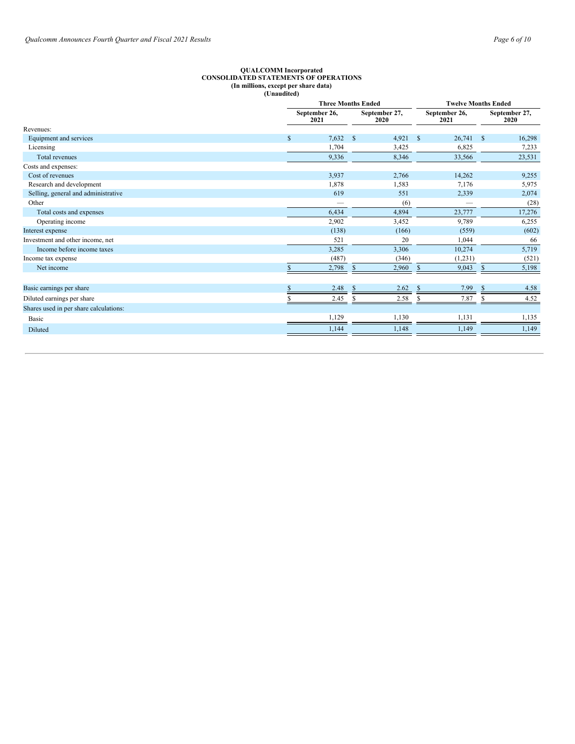#### **QUALCOMM Incorporated CONSOLIDATED STATEMENTS OF OPERATIONS (In millions, except per share data) (Unaudited)**

|                                        |              |                       | <b>Three Months Ended</b> | <b>Twelve Months Ended</b> |                        |  |
|----------------------------------------|--------------|-----------------------|---------------------------|----------------------------|------------------------|--|
|                                        |              | September 26,<br>2021 |                           | September 26,<br>2021      | September 27,<br>2020  |  |
| Revenues:                              |              |                       |                           |                            |                        |  |
| Equipment and services                 | $\mathbb{S}$ | 7,632                 | $\mathbf{s}$<br>4,921     | 26,741<br>$\mathbb{S}$     | $\mathbb{S}$<br>16,298 |  |
| Licensing                              |              | 1,704                 | 3,425                     | 6,825                      | 7,233                  |  |
| <b>Total revenues</b>                  |              | 9,336                 | 8,346                     | 33,566                     | 23,531                 |  |
| Costs and expenses:                    |              |                       |                           |                            |                        |  |
| Cost of revenues                       |              | 3,937                 | 2,766                     | 14,262                     | 9,255                  |  |
| Research and development               |              | 1,878                 | 1,583                     | 7,176                      | 5,975                  |  |
| Selling, general and administrative    |              | 619                   | 551                       | 2,339                      | 2,074                  |  |
| Other                                  |              |                       | (6)                       |                            | (28)                   |  |
| Total costs and expenses               |              | 6,434                 | 4,894                     | 23,777                     | 17,276                 |  |
| Operating income                       |              | 2,902                 | 3,452                     | 9,789                      | 6,255                  |  |
| Interest expense                       |              | (138)                 | (166)                     | (559)                      | (602)                  |  |
| Investment and other income, net       |              | 521                   | 20                        | 1,044                      | 66                     |  |
| Income before income taxes             |              | 3,285                 | 3,306                     | 10,274                     | 5,719                  |  |
| Income tax expense                     |              | (487)                 | (346)                     | (1,231)                    | (521)                  |  |
| Net income                             |              | 2,798                 | 2,960                     | 9,043<br><sup>\$</sup>     | 5,198<br><sup>S</sup>  |  |
| Basic earnings per share               |              | 2.48                  | 2.62                      | 7.99                       | 4.58                   |  |
| Diluted earnings per share             |              | 2.45                  | 2.58                      | 7.87                       | 4.52                   |  |
| Shares used in per share calculations: |              |                       |                           |                            |                        |  |
| Basic                                  |              | 1,129                 | 1,130                     | 1,131                      | 1,135                  |  |
| Diluted                                |              | 1,144                 | 1,148                     | 1,149                      | 1,149                  |  |
|                                        |              |                       |                           |                            |                        |  |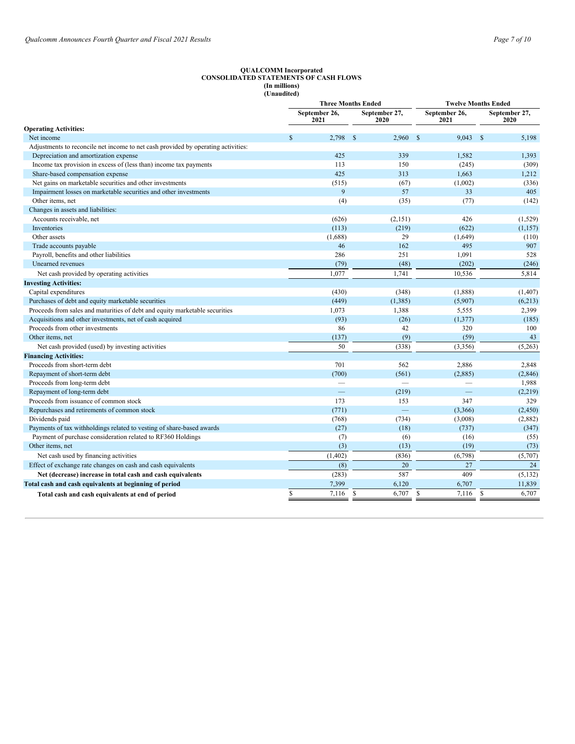#### **QUALCOMM Incorporated CONSOLIDATED STATEMENTS OF CASH FLOWS (In millions) (Unaudited)**

|                                                                                   |             | <b>Three Months Ended</b> |              |                       | <b>Twelve Months Ended</b> |              |                       |  |
|-----------------------------------------------------------------------------------|-------------|---------------------------|--------------|-----------------------|----------------------------|--------------|-----------------------|--|
|                                                                                   |             | September 26,<br>2021     |              | September 27,<br>2020 | September 26,<br>2021      |              | September 27,<br>2020 |  |
| <b>Operating Activities:</b>                                                      |             |                           |              |                       |                            |              |                       |  |
| Net income                                                                        | $\mathbf S$ | 2,798                     | $\mathbf{s}$ | 2,960                 | 9,043<br>$\mathbb{S}$      | $\mathbb{S}$ | 5,198                 |  |
| Adjustments to reconcile net income to net cash provided by operating activities: |             |                           |              |                       |                            |              |                       |  |
| Depreciation and amortization expense                                             |             | 425                       |              | 339                   | 1.582                      |              | 1,393                 |  |
| Income tax provision in excess of (less than) income tax payments                 |             | 113                       |              | 150                   | (245)                      |              | (309)                 |  |
| Share-based compensation expense                                                  |             | 425                       |              | 313                   | 1,663                      |              | 1,212                 |  |
| Net gains on marketable securities and other investments                          |             | (515)                     |              | (67)                  | (1,002)                    |              | (336)                 |  |
| Impairment losses on marketable securities and other investments                  |             | 9                         |              | 57                    | 33                         |              | 405                   |  |
| Other items, net                                                                  |             | (4)                       |              | (35)                  | (77)                       |              | (142)                 |  |
| Changes in assets and liabilities:                                                |             |                           |              |                       |                            |              |                       |  |
| Accounts receivable, net                                                          |             | (626)                     |              | (2,151)               | 426                        |              | (1,529)               |  |
| Inventories                                                                       |             | (113)                     |              | (219)                 | (622)                      |              | (1, 157)              |  |
| Other assets                                                                      |             | (1,688)                   |              | 29                    | (1,649)                    |              | (110)                 |  |
| Trade accounts payable                                                            |             | 46                        |              | 162                   | 495                        |              | 907                   |  |
| Payroll, benefits and other liabilities                                           |             | 286                       |              | 251                   | 1,091                      |              | 528                   |  |
| Unearned revenues                                                                 |             | (79)                      |              | (48)                  | (202)                      |              | (246)                 |  |
| Net cash provided by operating activities                                         |             | 1,077                     |              | 1,741                 | 10,536                     |              | 5,814                 |  |
| <b>Investing Activities:</b>                                                      |             |                           |              |                       |                            |              |                       |  |
| Capital expenditures                                                              |             | (430)                     |              | (348)                 | (1,888)                    |              | (1, 407)              |  |
| Purchases of debt and equity marketable securities                                |             | (449)                     |              | (1,385)               | (5,907)                    |              | (6,213)               |  |
| Proceeds from sales and maturities of debt and equity marketable securities       |             | 1,073                     |              | 1,388                 | 5,555                      |              | 2,399                 |  |
| Acquisitions and other investments, net of cash acquired                          |             | (93)                      |              | (26)                  | (1,377)                    |              | (185)                 |  |
| Proceeds from other investments                                                   |             | 86                        |              | 42                    | 320                        |              | 100                   |  |
| Other items, net                                                                  |             | (137)                     |              | (9)                   | (59)                       |              | 43                    |  |
| Net cash provided (used) by investing activities                                  |             | 50                        |              | (338)                 | (3,356)                    |              | (5,263)               |  |
| <b>Financing Activities:</b>                                                      |             |                           |              |                       |                            |              |                       |  |
| Proceeds from short-term debt                                                     |             | 701                       |              | 562                   | 2,886                      |              | 2,848                 |  |
| Repayment of short-term debt                                                      |             | (700)                     |              | (561)                 | (2,885)                    |              | (2,846)               |  |
| Proceeds from long-term debt                                                      |             |                           |              |                       |                            |              | 1,988                 |  |
| Repayment of long-term debt                                                       |             |                           |              | (219)                 |                            |              | (2,219)               |  |
| Proceeds from issuance of common stock                                            |             | 173                       |              | 153                   | 347                        |              | 329                   |  |
| Repurchases and retirements of common stock                                       |             | (771)                     |              |                       | (3,366)                    |              | (2, 450)              |  |
| Dividends paid                                                                    |             | (768)                     |              | (734)                 | (3,008)                    |              | (2,882)               |  |
| Payments of tax withholdings related to vesting of share-based awards             |             | (27)                      |              | (18)                  | (737)                      |              | (347)                 |  |
| Payment of purchase consideration related to RF360 Holdings                       |             | (7)                       |              | (6)                   | (16)                       |              | (55)                  |  |
| Other items, net                                                                  |             | (3)                       |              | (13)                  | (19)                       |              | (73)                  |  |
| Net cash used by financing activities                                             |             | (1,402)                   |              | (836)                 | (6,798)                    |              | (5,707)               |  |
| Effect of exchange rate changes on cash and cash equivalents                      |             | (8)                       |              | 20                    | 27                         |              | 24                    |  |
| Net (decrease) increase in total cash and cash equivalents                        |             | (283)                     |              | 587                   | 409                        |              | (5, 132)              |  |
| Total cash and cash equivalents at beginning of period                            |             | 7,399                     |              | 6,120                 | 6,707                      |              | 11,839                |  |
| Total cash and cash equivalents at end of period                                  | \$          | 7,116                     | <b>S</b>     | 6,707                 | \$<br>7,116                | \$           | 6,707                 |  |
|                                                                                   |             |                           |              |                       |                            |              |                       |  |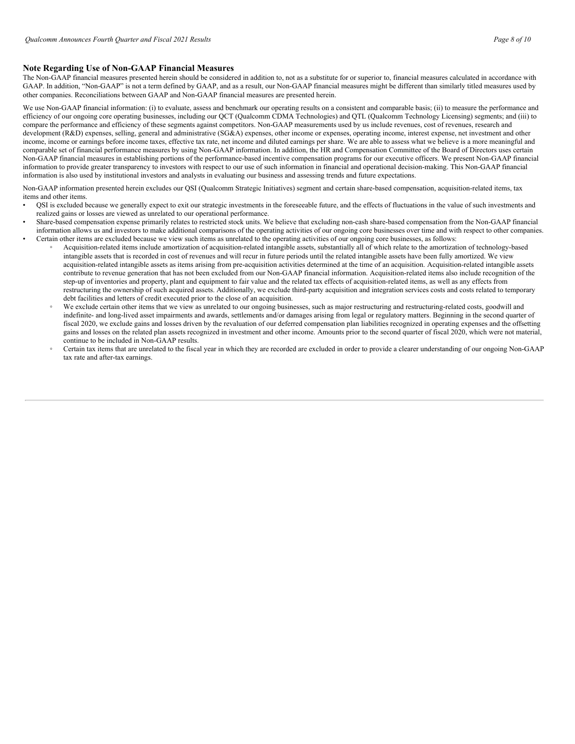# **Note Regarding Use of Non-GAAP Financial Measures**

The Non-GAAP financial measures presented herein should be considered in addition to, not as a substitute for or superior to, financial measures calculated in accordance with GAAP. In addition, "Non-GAAP" is not a term defined by GAAP, and as a result, our Non-GAAP financial measures might be different than similarly titled measures used by other companies. Reconciliations between GAAP and Non-GAAP financial measures are presented herein.

We use Non-GAAP financial information: (i) to evaluate, assess and benchmark our operating results on a consistent and comparable basis; (ii) to measure the performance and efficiency of our ongoing core operating businesses, including our QCT (Qualcomm CDMA Technologies) and QTL (Qualcomm Technology Licensing) segments; and (iii) to compare the performance and efficiency of these segments against competitors. Non-GAAP measurements used by us include revenues, cost of revenues, research and development (R&D) expenses, selling, general and administrative (SG&A) expenses, other income or expenses, operating income, interest expense, net investment and other income, income or earnings before income taxes, effective tax rate, net income and diluted earnings per share. We are able to assess what we believe is a more meaningful and comparable set of financial performance measures by using Non-GAAP information. In addition, the HR and Compensation Committee of the Board of Directors uses certain Non-GAAP financial measures in establishing portions of the performance-based incentive compensation programs for our executive officers. We present Non-GAAP financial information to provide greater transparency to investors with respect to our use of such information in financial and operational decision-making. This Non-GAAP financial information is also used by institutional investors and analysts in evaluating our business and assessing trends and future expectations.

Non-GAAP information presented herein excludes our QSI (Qualcomm Strategic Initiatives) segment and certain share-based compensation, acquisition-related items, tax items and other items.

- QSI is excluded because we generally expect to exit our strategic investments in the foreseeable future, and the effects of fluctuations in the value of such investments and realized gains or losses are viewed as unrelated to our operational performance.
- Share-based compensation expense primarily relates to restricted stock units. We believe that excluding non-cash share-based compensation from the Non-GAAP financial information allows us and investors to make additional comparisons of the operating activities of our ongoing core businesses over time and with respect to other companies. • Certain other items are excluded because we view such items as unrelated to the operating activities of our ongoing core businesses, as follows:
	- Acquisition-related items include amortization of acquisition-related intangible assets, substantially all of which relate to the amortization of technology-based intangible assets that is recorded in cost of revenues and will recur in future periods until the related intangible assets have been fully amortized. We view acquisition-related intangible assets as items arising from pre-acquisition activities determined at the time of an acquisition. Acquisition-related intangible assets contribute to revenue generation that has not been excluded from our Non-GAAP financial information. Acquisition-related items also include recognition of the step-up of inventories and property, plant and equipment to fair value and the related tax effects of acquisition-related items, as well as any effects from restructuring the ownership of such acquired assets. Additionally, we exclude third-party acquisition and integration services costs and costs related to temporary debt facilities and letters of credit executed prior to the close of an acquisition.
	- We exclude certain other items that we view as unrelated to our ongoing businesses, such as major restructuring and restructuring-related costs, goodwill and indefinite- and long-lived asset impairments and awards, settlements and/or damages arising from legal or regulatory matters. Beginning in the second quarter of fiscal 2020, we exclude gains and losses driven by the revaluation of our deferred compensation plan liabilities recognized in operating expenses and the offsetting gains and losses on the related plan assets recognized in investment and other income. Amounts prior to the second quarter of fiscal 2020, which were not material, continue to be included in Non-GAAP results.
	- Certain tax items that are unrelated to the fiscal year in which they are recorded are excluded in order to provide a clearer understanding of our ongoing Non-GAAP tax rate and after-tax earnings.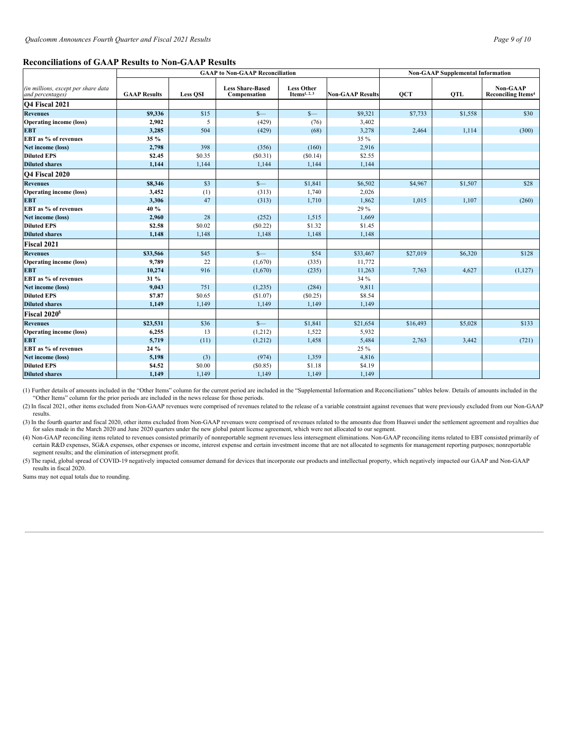#### **Reconciliations of GAAP Results to Non-GAAP Results**

|                                                         |                     | <b>GAAP</b> to Non-GAAP Reconciliation | <b>Non-GAAP Supplemental Information</b> |                                               |                         |            |            |                                              |
|---------------------------------------------------------|---------------------|----------------------------------------|------------------------------------------|-----------------------------------------------|-------------------------|------------|------------|----------------------------------------------|
| (in millions, except per share data<br>and percentages) | <b>GAAP Results</b> | <b>Less QSI</b>                        | <b>Less Share-Based</b><br>Compensation  | <b>Less Other</b><br>Items <sup>1, 2, 3</sup> | <b>Non-GAAP Results</b> | <b>QCT</b> | <b>QTL</b> | <b>Non-GAAP</b><br><b>Reconciling Items4</b> |
| Q4 Fiscal 2021                                          |                     |                                        |                                          |                                               |                         |            |            |                                              |
| <b>Revenues</b>                                         | \$9,336             | \$15                                   | $S-$                                     | $S-$                                          | \$9,321                 | \$7,733    | \$1,558    | \$30                                         |
| <b>Operating income (loss)</b>                          | 2,902               | 5                                      | (429)                                    | (76)                                          | 3,402                   |            |            |                                              |
| <b>EBT</b>                                              | 3,285               | 504                                    | (429)                                    | (68)                                          | 3,278                   | 2,464      | 1,114      | (300)                                        |
| EBT as % of revenues                                    | 35 %                |                                        |                                          |                                               | 35 %                    |            |            |                                              |
| <b>Net income (loss)</b>                                | 2,798               | 398                                    | (356)                                    | (160)                                         | 2,916                   |            |            |                                              |
| <b>Diluted EPS</b>                                      | \$2.45              | \$0.35                                 | (S0.31)                                  | (S0.14)                                       | \$2.55                  |            |            |                                              |
| <b>Diluted shares</b>                                   | 1,144               | 1,144                                  | 1,144                                    | 1,144                                         | 1,144                   |            |            |                                              |
| Q4 Fiscal 2020                                          |                     |                                        |                                          |                                               |                         |            |            |                                              |
| <b>Revenues</b>                                         | \$8,346             | \$3                                    | $S-$                                     | \$1,841                                       | \$6,502                 | \$4,967    | \$1,507    | \$28                                         |
| <b>Operating income (loss)</b>                          | 3,452               | (1)                                    | (313)                                    | 1,740                                         | 2,026                   |            |            |                                              |
| <b>EBT</b>                                              | 3,306               | 47                                     | (313)                                    | 1,710                                         | 1,862                   | 1.015      | 1,107      | (260)                                        |
| EBT as % of revenues                                    | 40 %                |                                        |                                          |                                               | 29 %                    |            |            |                                              |
| Net income (loss)                                       | 2,960               | 28                                     | (252)                                    | 1,515                                         | 1,669                   |            |            |                                              |
| <b>Diluted EPS</b>                                      | \$2.58              | \$0.02                                 | (\$0.22)                                 | \$1.32                                        | \$1.45                  |            |            |                                              |
| <b>Diluted shares</b>                                   | 1,148               | 1,148                                  | 1,148                                    | 1,148                                         | 1,148                   |            |            |                                              |
| <b>Fiscal 2021</b>                                      |                     |                                        |                                          |                                               |                         |            |            |                                              |
| <b>Revenues</b>                                         | \$33,566            | \$45                                   | $S-$                                     | \$54                                          | \$33,467                | \$27,019   | \$6,320    | \$128                                        |
| <b>Operating income (loss)</b>                          | 9,789               | 22                                     | (1,670)                                  | (335)                                         | 11,772                  |            |            |                                              |
| <b>EBT</b>                                              | 10,274              | 916                                    | (1,670)                                  | (235)                                         | 11,263                  | 7,763      | 4,627      | (1, 127)                                     |
| EBT as % of revenues                                    | 31 %                |                                        |                                          |                                               | 34 %                    |            |            |                                              |
| Net income (loss)                                       | 9,043               | 751                                    | (1,235)                                  | (284)                                         | 9.811                   |            |            |                                              |
| <b>Diluted EPS</b>                                      | \$7.87              | \$0.65                                 | (S1.07)                                  | (\$0.25)                                      | \$8.54                  |            |            |                                              |
| <b>Diluted shares</b>                                   | 1,149               | 1,149                                  | 1,149                                    | 1,149                                         | 1,149                   |            |            |                                              |
| Fiscal 2020 <sup>5</sup>                                |                     |                                        |                                          |                                               |                         |            |            |                                              |
| <b>Revenues</b>                                         | \$23,531            | \$36                                   | $S-$                                     | \$1,841                                       | \$21,654                | \$16,493   | \$5,028    | \$133                                        |
| <b>Operating income (loss)</b>                          | 6,255               | 13                                     | (1,212)                                  | 1,522                                         | 5,932                   |            |            |                                              |
| <b>EBT</b>                                              | 5,719               | (11)                                   | (1,212)                                  | 1,458                                         | 5,484                   | 2,763      | 3,442      | (721)                                        |
| EBT as % of revenues                                    | 24 %                |                                        |                                          |                                               | 25 %                    |            |            |                                              |
| Net income (loss)                                       | 5,198               | (3)                                    | (974)                                    | 1,359                                         | 4,816                   |            |            |                                              |
| <b>Diluted EPS</b>                                      | \$4.52              | \$0.00                                 | (\$0.85)                                 | \$1.18                                        | \$4.19                  |            |            |                                              |
| <b>Diluted shares</b>                                   | 1,149               | 1,149                                  | 1,149                                    | 1,149                                         | 1,149                   |            |            |                                              |

(1) Further details of amounts included in the "Other Items" column for the current period are included in the "Supplemental Information and Reconciliations" tables below. Details of amounts included in the "Other Items" column for the prior periods are included in the news release for those periods.

(2) In fiscal 2021, other items excluded from Non-GAAP revenues were comprised of revenues related to the release of a variable constraint against revenues that were previously excluded from our Non-GAAP results.

(3) In the fourth quarter and fiscal 2020, other items excluded from Non-GAAP revenues were comprised of revenues related to the amounts due from Huawei under the settlement agreement and royalties due for sales made in the March 2020 and June 2020 quarters under the new global patent license agreement, which were not allocated to our segment.

(4) Non-GAAP reconciling items related to revenues consisted primarily of nonreportable segment revenues less intersegment eliminations. Non-GAAP reconciling items related to EBT consisted primarily of certain R&D expenses, SG&A expenses, other expenses or income, interest expense and certain investment income that are not allocated to segments for management reporting purposes; nonreportable segment results; and the elimination of intersegment profit.

(5) The rapid, global spread of COVID-19 negatively impacted consumer demand for devices that incorporate our products and intellectual property, which negatively impacted our GAAP and Non-GAAP results in fiscal 2020.

Sums may not equal totals due to rounding.